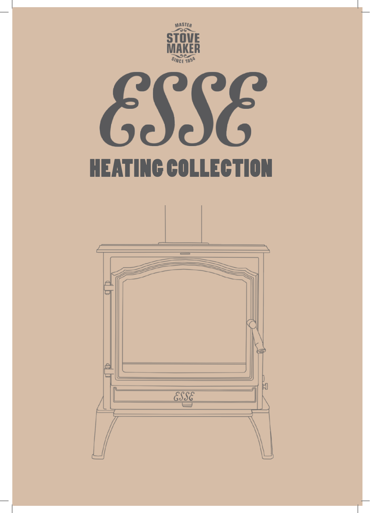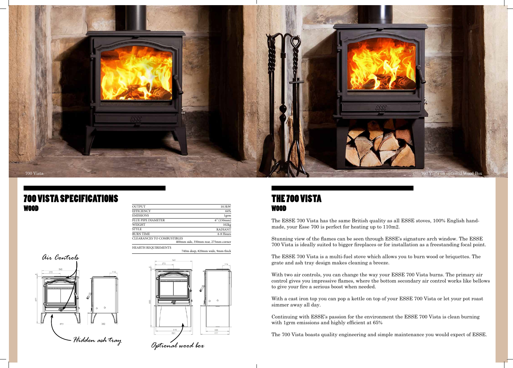The ESSE 700 Vista has the same British quality as all ESSE stoves, 100% English handmade, your Esse 700 is perfect for heating up to 110m2.

Stunning view of the flames can be seen through ESSE's signature arch window. The ESSE 700 Vista is ideally suited to bigger fireplaces or for installation as a freestanding focal point.

The ESSE 700 Vista is a multi-fuel stove which allows you to burn wood or briquettes. The grate and ash tray design makes cleaning a breeze.

With two air controls, you can change the way your ESSE 700 Vista burns. The primary air control gives you impressive flames, where the bottom secondary air control works like bellows to give your fire a serious boost when needed.

#### **700 VISTA SPECIFICATIONS** WOOD

With a cast iron top you can pop a kettle on top of your ESSE 700 Vista or let your pot roast simmer away all day.

Continuing with ESSE's passion for the environment the ESSE 700 Vista is clean burning with 1grm emissions and highly efficient at 65%

The 700 Vista boasts quality engineering and simple maintenance you would expect of ESSE.

| <b>OUTPUT</b>              | 10.5kW         |
|----------------------------|----------------|
| <b>EFFICIENCY</b>          | 64%            |
| <b>EMISSIONS</b>           | lgrm           |
| FLUE PIPE DIAMETER         | 6''(150mm)     |
| <b>WEIGHT</b>              | 102kg          |
| <b>STYLE</b>               | <b>RADIANT</b> |
| <b>BURN TIME</b>           | 6-8 Hours      |
| CLEARANCES TO COMBUSTIBLES |                |
| .                          |                |

HEARTH REQUIREMENTS 400mm side, 350mm rear, 275mm corner

740m deep, 820mm wide, 9mm thick

| 40) | 272        |         |            | 114 |
|-----|------------|---------|------------|-----|
|     |            |         |            |     |
| 833 |            | $\circ$ | $\circ$    |     |
|     | 510<br>561 |         | 339<br>417 |     |





#### The 700 Vista WOOD